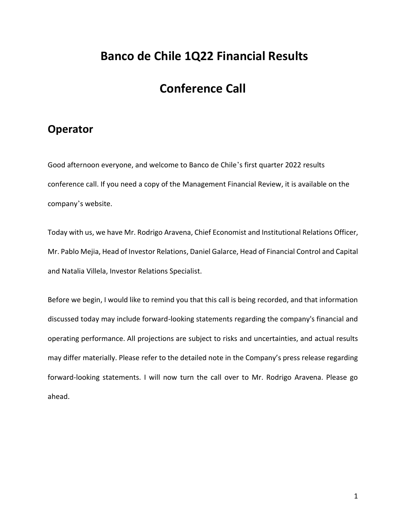## **Banco de Chile 1Q22 Financial Results**

## **Conference Call**

### **Operator**

Good afternoon everyone, and welcome to Banco de Chile's first quarter 2022 results conference call. If you need a copy of the Management Financial Review, it is available on the company's website.

Today with us, we have Mr. Rodrigo Aravena, Chief Economist and Institutional Relations Officer, Mr. Pablo Mejia, Head of Investor Relations, Daniel Galarce, Head of Financial Control and Capital and Natalia Villela, Investor Relations Specialist.

Before we begin, I would like to remind you that this call is being recorded, and that information discussed today may include forward-looking statements regarding the company's financial and operating performance. All projections are subject to risks and uncertainties, and actual results may differ materially. Please refer to the detailed note in the Company's press release regarding forward-looking statements. I will now turn the call over to Mr. Rodrigo Aravena. Please go ahead.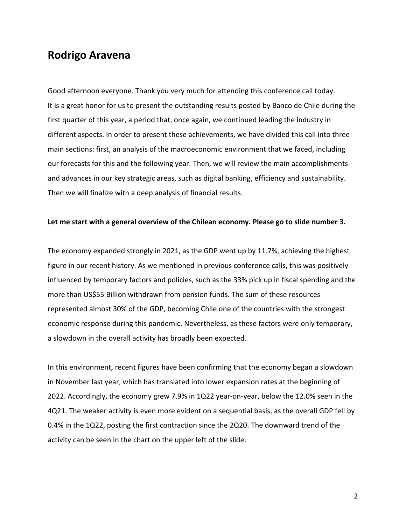### **Rodrigo Aravena**

Good afternoon everyone. Thank you very much for attending this conference call today. It is a great honor for us to present the outstanding results posted by Banco de Chile during the first quarter of this year, a period that, once again, we continued leading the industry in different aspects. In order to present these achievements, we have divided this call into three main sections: first, an analysis of the macroeconomic environment that we faced, including our forecasts for this and the following year. Then, we will review the main accomplishments and advances in our key strategic areas, such as digital banking, efficiency and sustainability. Then we will finalize with a deep analysis of financial results.

#### **Let me start with a general overview of the Chilean economy. Please go to slide number 3.**

The economy expanded strongly in 2021, as the GDP went up by 11.7%, achieving the highest figure in our recent history. As we mentioned in previous conference calls, this was positively influenced by temporary factors and policies, such as the 33% pick up in fiscal spending and the more than US\$55 Billion withdrawn from pension funds. The sum of these resources represented almost 30% of the GDP, becoming Chile one of the countries with the strongest economic response during this pandemic. Nevertheless, as these factors were only temporary, a slowdown in the overall activity has broadly been expected.

In this environment, recent figures have been confirming that the economy began a slowdown in November last year, which has translated into lower expansion rates at the beginning of 2022. Accordingly, the economy grew 7.9% in 1Q22 year-on-year, below the 12.0% seen in the 4Q21. The weaker activity is even more evident on a sequential basis, as the overall GDP fell by 0.4% in the 1Q22, posting the first contraction since the 2Q20. The downward trend of the activity can be seen in the chart on the upper left of the slide.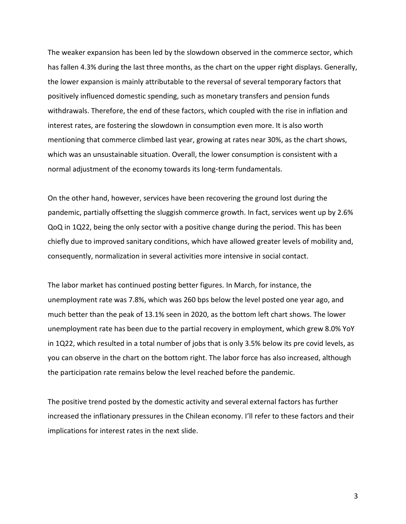The weaker expansion has been led by the slowdown observed in the commerce sector, which has fallen 4.3% during the last three months, as the chart on the upper right displays. Generally, the lower expansion is mainly attributable to the reversal of several temporary factors that positively influenced domestic spending, such as monetary transfers and pension funds withdrawals. Therefore, the end of these factors, which coupled with the rise in inflation and interest rates, are fostering the slowdown in consumption even more. It is also worth mentioning that commerce climbed last year, growing at rates near 30%, as the chart shows, which was an unsustainable situation. Overall, the lower consumption is consistent with a normal adjustment of the economy towards its long-term fundamentals.

On the other hand, however, services have been recovering the ground lost during the pandemic, partially offsetting the sluggish commerce growth. In fact, services went up by 2.6% QoQ in 1Q22, being the only sector with a positive change during the period. This has been chiefly due to improved sanitary conditions, which have allowed greater levels of mobility and, consequently, normalization in several activities more intensive in social contact.

The labor market has continued posting better figures. In March, for instance, the unemployment rate was 7.8%, which was 260 bps below the level posted one year ago, and much better than the peak of 13.1% seen in 2020, as the bottom left chart shows. The lower unemployment rate has been due to the partial recovery in employment, which grew 8.0% YoY in 1Q22, which resulted in a total number of jobs that is only 3.5% below its pre covid levels, as you can observe in the chart on the bottom right. The labor force has also increased, although the participation rate remains below the level reached before the pandemic.

The positive trend posted by the domestic activity and several external factors has further increased the inflationary pressures in the Chilean economy. I'll refer to these factors and their implications for interest rates in the next slide.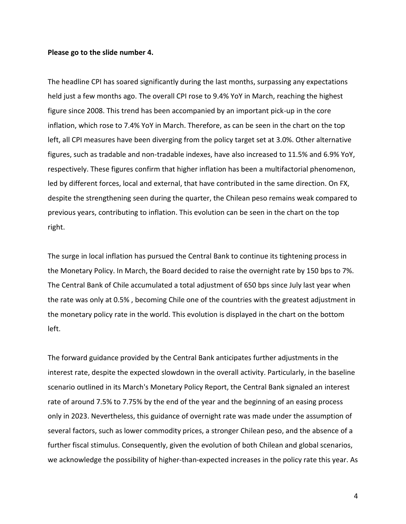#### **Please go to the slide number 4.**

The headline CPI has soared significantly during the last months, surpassing any expectations held just a few months ago. The overall CPI rose to 9.4% YoY in March, reaching the highest figure since 2008. This trend has been accompanied by an important pick-up in the core inflation, which rose to 7.4% YoY in March. Therefore, as can be seen in the chart on the top left, all CPI measures have been diverging from the policy target set at 3.0%. Other alternative figures, such as tradable and non-tradable indexes, have also increased to 11.5% and 6.9% YoY, respectively. These figures confirm that higher inflation has been a multifactorial phenomenon, led by different forces, local and external, that have contributed in the same direction. On FX, despite the strengthening seen during the quarter, the Chilean peso remains weak compared to previous years, contributing to inflation. This evolution can be seen in the chart on the top right.

The surge in local inflation has pursued the Central Bank to continue its tightening process in the Monetary Policy. In March, the Board decided to raise the overnight rate by 150 bps to 7%. The Central Bank of Chile accumulated a total adjustment of 650 bps since July last year when the rate was only at 0.5% , becoming Chile one of the countries with the greatest adjustment in the monetary policy rate in the world. This evolution is displayed in the chart on the bottom left.

The forward guidance provided by the Central Bank anticipates further adjustments in the interest rate, despite the expected slowdown in the overall activity. Particularly, in the baseline scenario outlined in its March's Monetary Policy Report, the Central Bank signaled an interest rate of around 7.5% to 7.75% by the end of the year and the beginning of an easing process only in 2023. Nevertheless, this guidance of overnight rate was made under the assumption of several factors, such as lower commodity prices, a stronger Chilean peso, and the absence of a further fiscal stimulus. Consequently, given the evolution of both Chilean and global scenarios, we acknowledge the possibility of higher-than-expected increases in the policy rate this year. As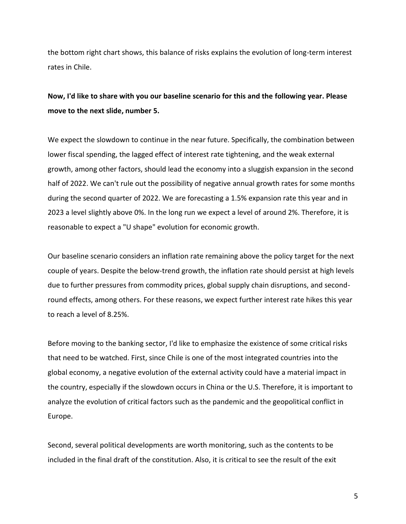the bottom right chart shows, this balance of risks explains the evolution of long-term interest rates in Chile.

### **Now, I'd like to share with you our baseline scenario for this and the following year. Please move to the next slide, number 5.**

We expect the slowdown to continue in the near future. Specifically, the combination between lower fiscal spending, the lagged effect of interest rate tightening, and the weak external growth, among other factors, should lead the economy into a sluggish expansion in the second half of 2022. We can't rule out the possibility of negative annual growth rates for some months during the second quarter of 2022. We are forecasting a 1.5% expansion rate this year and in 2023 a level slightly above 0%. In the long run we expect a level of around 2%. Therefore, it is reasonable to expect a "U shape" evolution for economic growth.

Our baseline scenario considers an inflation rate remaining above the policy target for the next couple of years. Despite the below-trend growth, the inflation rate should persist at high levels due to further pressures from commodity prices, global supply chain disruptions, and secondround effects, among others. For these reasons, we expect further interest rate hikes this year to reach a level of 8.25%.

Before moving to the banking sector, I'd like to emphasize the existence of some critical risks that need to be watched. First, since Chile is one of the most integrated countries into the global economy, a negative evolution of the external activity could have a material impact in the country, especially if the slowdown occurs in China or the U.S. Therefore, it is important to analyze the evolution of critical factors such as the pandemic and the geopolitical conflict in Europe.

Second, several political developments are worth monitoring, such as the contents to be included in the final draft of the constitution. Also, it is critical to see the result of the exit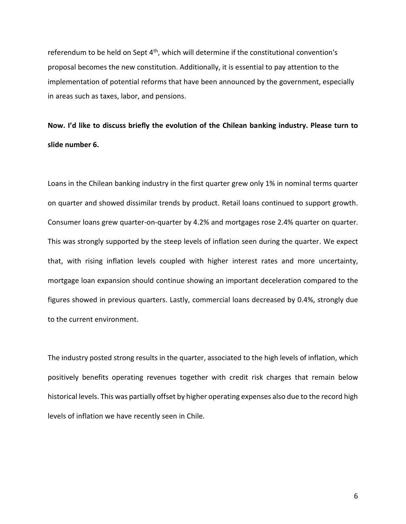referendum to be held on Sept  $4<sup>th</sup>$ , which will determine if the constitutional convention's proposal becomes the new constitution. Additionally, it is essential to pay attention to the implementation of potential reforms that have been announced by the government, especially in areas such as taxes, labor, and pensions.

# **Now. I'd like to discuss briefly the evolution of the Chilean banking industry. Please turn to slide number 6.**

Loans in the Chilean banking industry in the first quarter grew only 1% in nominal terms quarter on quarter and showed dissimilar trends by product. Retail loans continued to support growth. Consumer loans grew quarter-on-quarter by 4.2% and mortgages rose 2.4% quarter on quarter. This was strongly supported by the steep levels of inflation seen during the quarter. We expect that, with rising inflation levels coupled with higher interest rates and more uncertainty, mortgage loan expansion should continue showing an important deceleration compared to the figures showed in previous quarters. Lastly, commercial loans decreased by 0.4%, strongly due to the current environment.

The industry posted strong results in the quarter, associated to the high levels of inflation, which positively benefits operating revenues together with credit risk charges that remain below historical levels. This was partially offset by higher operating expenses also due to the record high levels of inflation we have recently seen in Chile.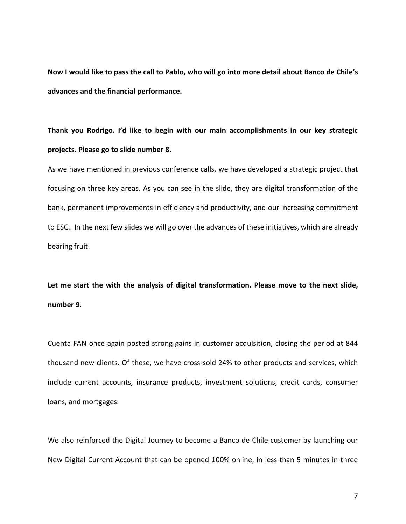**Now I would like to pass the call to Pablo, who will go into more detail about Banco de Chile's advances and the financial performance.** 

**Thank you Rodrigo. I'd like to begin with our main accomplishments in our key strategic projects. Please go to slide number 8.** 

As we have mentioned in previous conference calls, we have developed a strategic project that focusing on three key areas. As you can see in the slide, they are digital transformation of the bank, permanent improvements in efficiency and productivity, and our increasing commitment to ESG. In the next few slides we will go over the advances of these initiatives, which are already bearing fruit.

**Let me start the with the analysis of digital transformation. Please move to the next slide, number 9.** 

Cuenta FAN once again posted strong gains in customer acquisition, closing the period at 844 thousand new clients. Of these, we have cross-sold 24% to other products and services, which include current accounts, insurance products, investment solutions, credit cards, consumer loans, and mortgages.

We also reinforced the Digital Journey to become a Banco de Chile customer by launching our New Digital Current Account that can be opened 100% online, in less than 5 minutes in three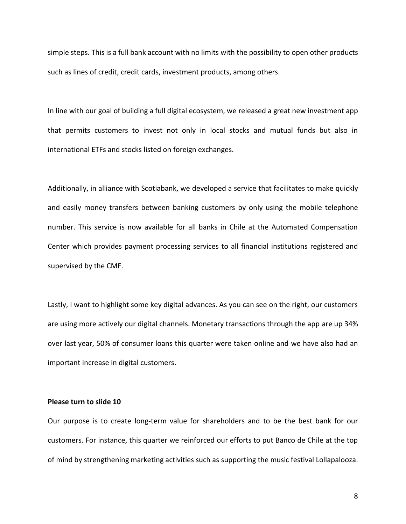simple steps. This is a full bank account with no limits with the possibility to open other products such as lines of credit, credit cards, investment products, among others.

In line with our goal of building a full digital ecosystem, we released a great new investment app that permits customers to invest not only in local stocks and mutual funds but also in international ETFs and stocks listed on foreign exchanges.

Additionally, in alliance with Scotiabank, we developed a service that facilitates to make quickly and easily money transfers between banking customers by only using the mobile telephone number. This service is now available for all banks in Chile at the Automated Compensation Center which provides payment processing services to all financial institutions registered and supervised by the CMF.

Lastly, I want to highlight some key digital advances. As you can see on the right, our customers are using more actively our digital channels. Monetary transactions through the app are up 34% over last year, 50% of consumer loans this quarter were taken online and we have also had an important increase in digital customers.

#### **Please turn to slide 10**

Our purpose is to create long-term value for shareholders and to be the best bank for our customers. For instance, this quarter we reinforced our efforts to put Banco de Chile at the top of mind by strengthening marketing activities such as supporting the music festival Lollapalooza.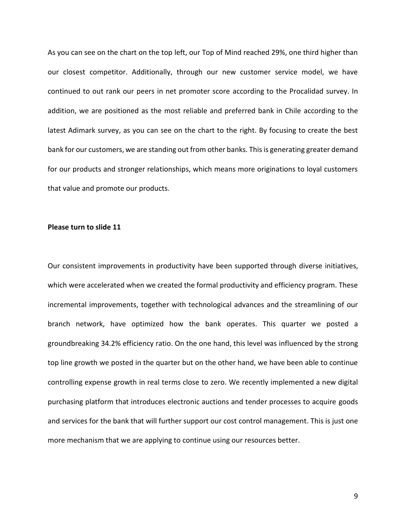As you can see on the chart on the top left, our Top of Mind reached 29%, one third higher than our closest competitor. Additionally, through our new customer service model, we have continued to out rank our peers in net promoter score according to the Procalidad survey. In addition, we are positioned as the most reliable and preferred bank in Chile according to the latest Adimark survey, as you can see on the chart to the right. By focusing to create the best bank for our customers, we are standing out from other banks. This is generating greater demand for our products and stronger relationships, which means more originations to loyal customers that value and promote our products.

#### **Please turn to slide 11**

Our consistent improvements in productivity have been supported through diverse initiatives, which were accelerated when we created the formal productivity and efficiency program. These incremental improvements, together with technological advances and the streamlining of our branch network, have optimized how the bank operates. This quarter we posted a groundbreaking 34.2% efficiency ratio. On the one hand, this level was influenced by the strong top line growth we posted in the quarter but on the other hand, we have been able to continue controlling expense growth in real terms close to zero. We recently implemented a new digital purchasing platform that introduces electronic auctions and tender processes to acquire goods and services for the bank that will further support our cost control management. This is just one more mechanism that we are applying to continue using our resources better.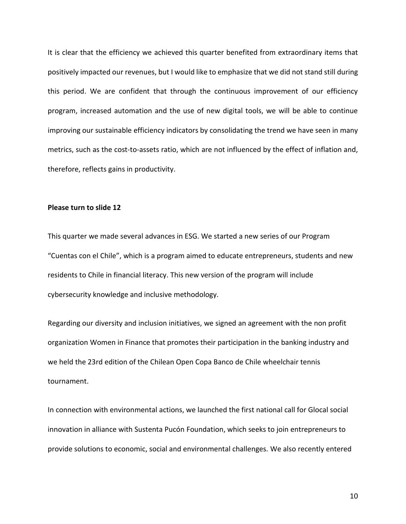It is clear that the efficiency we achieved this quarter benefited from extraordinary items that positively impacted our revenues, but I would like to emphasize that we did not stand still during this period. We are confident that through the continuous improvement of our efficiency program, increased automation and the use of new digital tools, we will be able to continue improving our sustainable efficiency indicators by consolidating the trend we have seen in many metrics, such as the cost-to-assets ratio, which are not influenced by the effect of inflation and, therefore, reflects gains in productivity.

#### **Please turn to slide 12**

This quarter we made several advances in ESG. We started a new series of our Program "Cuentas con el Chile", which is a program aimed to educate entrepreneurs, students and new residents to Chile in financial literacy. This new version of the program will include cybersecurity knowledge and inclusive methodology.

Regarding our diversity and inclusion initiatives, we signed an agreement with the non profit organization Women in Finance that promotes their participation in the banking industry and we held the 23rd edition of the Chilean Open Copa Banco de Chile wheelchair tennis tournament.

In connection with environmental actions, we launched the first national call for Glocal social innovation in alliance with Sustenta Pucón Foundation, which seeks to join entrepreneurs to provide solutions to economic, social and environmental challenges. We also recently entered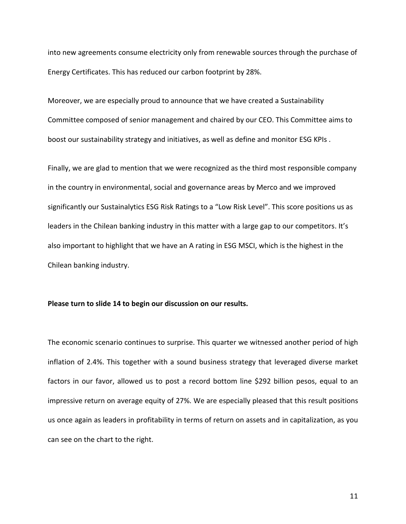into new agreements consume electricity only from renewable sources through the purchase of Energy Certificates. This has reduced our carbon footprint by 28%.

Moreover, we are especially proud to announce that we have created a Sustainability Committee composed of senior management and chaired by our CEO. This Committee aims to boost our sustainability strategy and initiatives, as well as define and monitor ESG KPIs .

Finally, we are glad to mention that we were recognized as the third most responsible company in the country in environmental, social and governance areas by Merco and we improved significantly our Sustainalytics ESG Risk Ratings to a "Low Risk Level". This score positions us as leaders in the Chilean banking industry in this matter with a large gap to our competitors. It's also important to highlight that we have an A rating in ESG MSCI, which is the highest in the Chilean banking industry.

#### **Please turn to slide 14 to begin our discussion on our results.**

The economic scenario continues to surprise. This quarter we witnessed another period of high inflation of 2.4%. This together with a sound business strategy that leveraged diverse market factors in our favor, allowed us to post a record bottom line \$292 billion pesos, equal to an impressive return on average equity of 27%. We are especially pleased that this result positions us once again as leaders in profitability in terms of return on assets and in capitalization, as you can see on the chart to the right.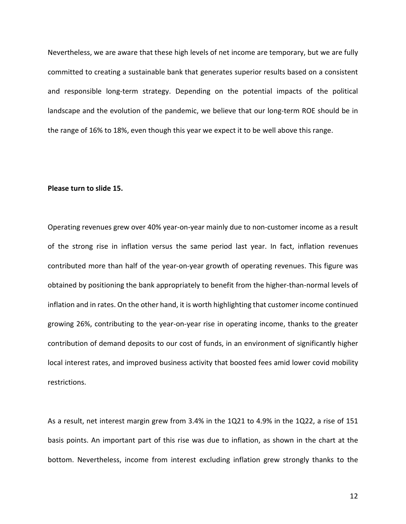Nevertheless, we are aware that these high levels of net income are temporary, but we are fully committed to creating a sustainable bank that generates superior results based on a consistent and responsible long-term strategy. Depending on the potential impacts of the political landscape and the evolution of the pandemic, we believe that our long-term ROE should be in the range of 16% to 18%, even though this year we expect it to be well above this range.

#### **Please turn to slide 15.**

Operating revenues grew over 40% year-on-year mainly due to non-customer income as a result of the strong rise in inflation versus the same period last year. In fact, inflation revenues contributed more than half of the year-on-year growth of operating revenues. This figure was obtained by positioning the bank appropriately to benefit from the higher-than-normal levels of inflation and in rates. On the other hand, it is worth highlighting that customer income continued growing 26%, contributing to the year-on-year rise in operating income, thanks to the greater contribution of demand deposits to our cost of funds, in an environment of significantly higher local interest rates, and improved business activity that boosted fees amid lower covid mobility restrictions.

As a result, net interest margin grew from 3.4% in the 1Q21 to 4.9% in the 1Q22, a rise of 151 basis points. An important part of this rise was due to inflation, as shown in the chart at the bottom. Nevertheless, income from interest excluding inflation grew strongly thanks to the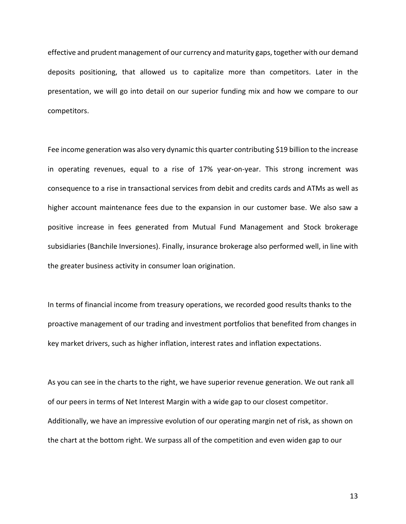effective and prudent management of our currency and maturity gaps, together with our demand deposits positioning, that allowed us to capitalize more than competitors. Later in the presentation, we will go into detail on our superior funding mix and how we compare to our competitors.

Fee income generation was also very dynamic this quarter contributing \$19 billion to the increase in operating revenues, equal to a rise of 17% year-on-year. This strong increment was consequence to a rise in transactional services from debit and credits cards and ATMs as well as higher account maintenance fees due to the expansion in our customer base. We also saw a positive increase in fees generated from Mutual Fund Management and Stock brokerage subsidiaries (Banchile Inversiones). Finally, insurance brokerage also performed well, in line with the greater business activity in consumer loan origination.

In terms of financial income from treasury operations, we recorded good results thanks to the proactive management of our trading and investment portfolios that benefited from changes in key market drivers, such as higher inflation, interest rates and inflation expectations.

As you can see in the charts to the right, we have superior revenue generation. We out rank all of our peers in terms of Net Interest Margin with a wide gap to our closest competitor. Additionally, we have an impressive evolution of our operating margin net of risk, as shown on the chart at the bottom right. We surpass all of the competition and even widen gap to our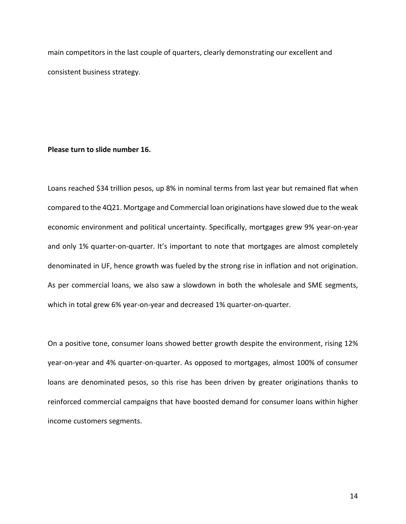main competitors in the last couple of quarters, clearly demonstrating our excellent and consistent business strategy.

#### **Please turn to slide number 16.**

Loans reached \$34 trillion pesos, up 8% in nominal terms from last year but remained flat when compared to the 4Q21. Mortgage and Commercial loan originations have slowed due to the weak economic environment and political uncertainty. Specifically, mortgages grew 9% year-on-year and only 1% quarter-on-quarter. It's important to note that mortgages are almost completely denominated in UF, hence growth was fueled by the strong rise in inflation and not origination. As per commercial loans, we also saw a slowdown in both the wholesale and SME segments, which in total grew 6% year-on-year and decreased 1% quarter-on-quarter.

On a positive tone, consumer loans showed better growth despite the environment, rising 12% year-on-year and 4% quarter-on-quarter. As opposed to mortgages, almost 100% of consumer loans are denominated pesos, so this rise has been driven by greater originations thanks to reinforced commercial campaigns that have boosted demand for consumer loans within higher income customers segments.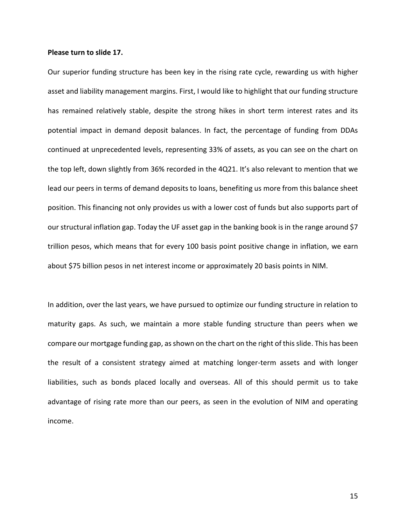#### **Please turn to slide 17.**

Our superior funding structure has been key in the rising rate cycle, rewarding us with higher asset and liability management margins. First, I would like to highlight that our funding structure has remained relatively stable, despite the strong hikes in short term interest rates and its potential impact in demand deposit balances. In fact, the percentage of funding from DDAs continued at unprecedented levels, representing 33% of assets, as you can see on the chart on the top left, down slightly from 36% recorded in the 4Q21. It's also relevant to mention that we lead our peers in terms of demand deposits to loans, benefiting us more from this balance sheet position. This financing not only provides us with a lower cost of funds but also supports part of our structural inflation gap. Today the UF asset gap in the banking book is in the range around \$7 trillion pesos, which means that for every 100 basis point positive change in inflation, we earn about \$75 billion pesos in net interest income or approximately 20 basis points in NIM.

In addition, over the last years, we have pursued to optimize our funding structure in relation to maturity gaps. As such, we maintain a more stable funding structure than peers when we compare our mortgage funding gap, as shown on the chart on the right of this slide. This has been the result of a consistent strategy aimed at matching longer-term assets and with longer liabilities, such as bonds placed locally and overseas. All of this should permit us to take advantage of rising rate more than our peers, as seen in the evolution of NIM and operating income.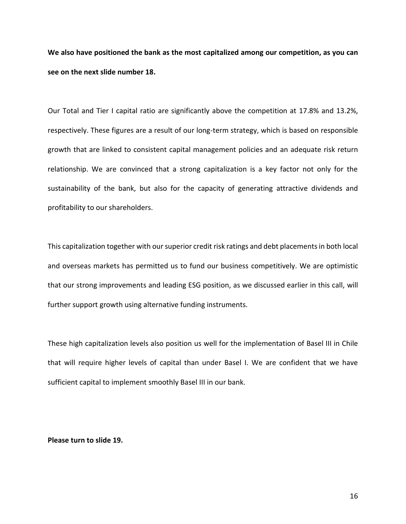**We also have positioned the bank as the most capitalized among our competition, as you can see on the next slide number 18.**

Our Total and Tier I capital ratio are significantly above the competition at 17.8% and 13.2%, respectively. These figures are a result of our long-term strategy, which is based on responsible growth that are linked to consistent capital management policies and an adequate risk return relationship. We are convinced that a strong capitalization is a key factor not only for the sustainability of the bank, but also for the capacity of generating attractive dividends and profitability to our shareholders.

This capitalization together with our superior credit risk ratings and debt placements in both local and overseas markets has permitted us to fund our business competitively. We are optimistic that our strong improvements and leading ESG position, as we discussed earlier in this call, will further support growth using alternative funding instruments.

These high capitalization levels also position us well for the implementation of Basel III in Chile that will require higher levels of capital than under Basel I. We are confident that we have sufficient capital to implement smoothly Basel III in our bank.

#### **Please turn to slide 19.**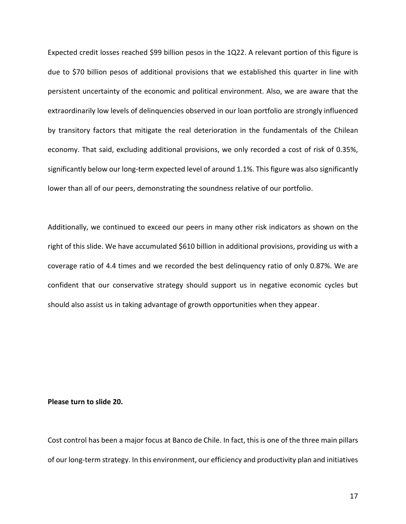Expected credit losses reached \$99 billion pesos in the 1Q22. A relevant portion of this figure is due to \$70 billion pesos of additional provisions that we established this quarter in line with persistent uncertainty of the economic and political environment. Also, we are aware that the extraordinarily low levels of delinquencies observed in our loan portfolio are strongly influenced by transitory factors that mitigate the real deterioration in the fundamentals of the Chilean economy. That said, excluding additional provisions, we only recorded a cost of risk of 0.35%, significantly below our long-term expected level of around 1.1%. This figure was also significantly lower than all of our peers, demonstrating the soundness relative of our portfolio.

Additionally, we continued to exceed our peers in many other risk indicators as shown on the right of this slide. We have accumulated \$610 billion in additional provisions, providing us with a coverage ratio of 4.4 times and we recorded the best delinquency ratio of only 0.87%. We are confident that our conservative strategy should support us in negative economic cycles but should also assist us in taking advantage of growth opportunities when they appear.

#### **Please turn to slide 20.**

Cost control has been a major focus at Banco de Chile. In fact, this is one of the three main pillars of our long-term strategy. In this environment, our efficiency and productivity plan and initiatives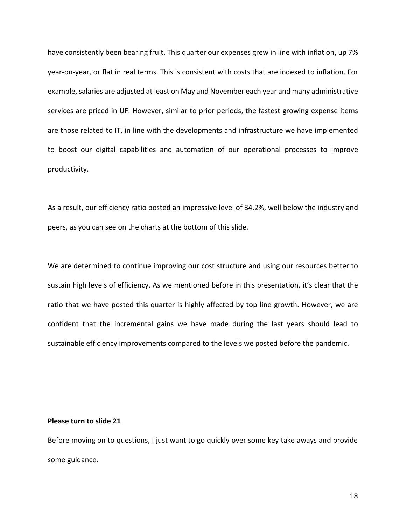have consistently been bearing fruit. This quarter our expenses grew in line with inflation, up 7% year-on-year, or flat in real terms. This is consistent with costs that are indexed to inflation. For example, salaries are adjusted at least on May and November each year and many administrative services are priced in UF. However, similar to prior periods, the fastest growing expense items are those related to IT, in line with the developments and infrastructure we have implemented to boost our digital capabilities and automation of our operational processes to improve productivity.

As a result, our efficiency ratio posted an impressive level of 34.2%, well below the industry and peers, as you can see on the charts at the bottom of this slide.

We are determined to continue improving our cost structure and using our resources better to sustain high levels of efficiency. As we mentioned before in this presentation, it's clear that the ratio that we have posted this quarter is highly affected by top line growth. However, we are confident that the incremental gains we have made during the last years should lead to sustainable efficiency improvements compared to the levels we posted before the pandemic.

#### **Please turn to slide 21**

Before moving on to questions, I just want to go quickly over some key take aways and provide some guidance.